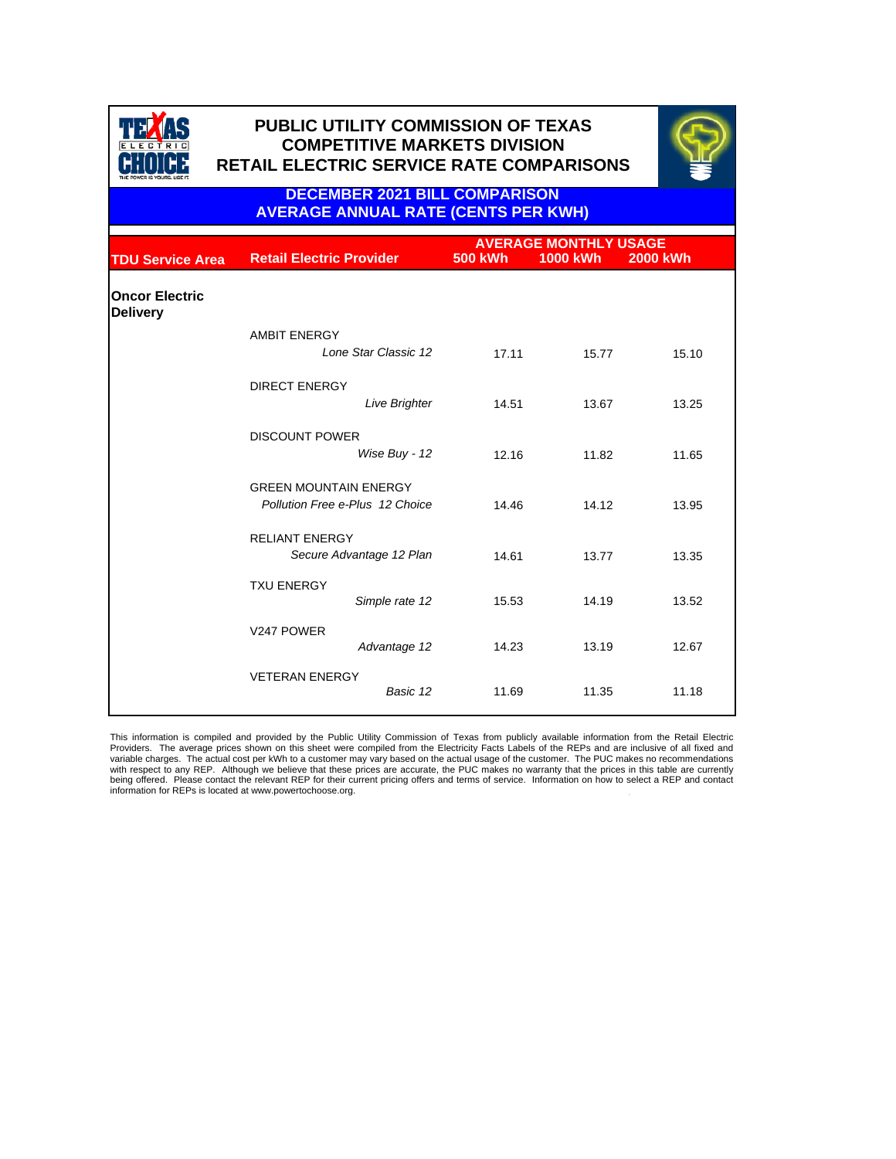



**DECEMBER 2021 BILL COMPARISON AVERAGE ANNUAL RATE (CENTS PER KWH)**

|                                          |                                                                 | <b>AVERAGE MONTHLY USAGE</b> |                 |          |  |
|------------------------------------------|-----------------------------------------------------------------|------------------------------|-----------------|----------|--|
| <b>TDU Service Area</b>                  | <b>Retail Electric Provider</b>                                 | <b>500 kWh</b>               | <b>1000 kWh</b> | 2000 kWh |  |
| <b>Oncor Electric</b><br><b>Delivery</b> |                                                                 |                              |                 |          |  |
|                                          | <b>AMBIT ENERGY</b><br>Lone Star Classic 12                     | 17.11                        | 15.77           | 15.10    |  |
|                                          | <b>DIRECT ENERGY</b><br><b>Live Brighter</b>                    | 14.51                        | 13.67           | 13.25    |  |
|                                          | <b>DISCOUNT POWER</b><br>Wise Buy - 12                          | 12.16                        | 11.82           | 11.65    |  |
|                                          | <b>GREEN MOUNTAIN ENERGY</b><br>Pollution Free e-Plus 12 Choice | 14.46                        | 14.12           | 13.95    |  |
|                                          | <b>RELIANT ENERGY</b><br>Secure Advantage 12 Plan               | 14.61                        | 13.77           | 13.35    |  |
|                                          | <b>TXU ENERGY</b><br>Simple rate 12                             | 15.53                        | 14.19           | 13.52    |  |
|                                          | V247 POWER<br>Advantage 12                                      | 14.23                        | 13.19           | 12.67    |  |
|                                          | <b>VETERAN ENERGY</b><br>Basic 12                               | 11.69                        | 11.35           | 11.18    |  |

This information is compiled and provided by the Public Utility Commission of Texas from publicly available information from the Retail Electric<br>Providers. The average prices shown on this sheet were compiled from the Elec with respect to any REP. Although we believe that these prices are accurate, the PUC makes no warranty that the prices in this table are currently being offered. Please contact the relevant REP for their current pricing offers and terms of service. Information on how to select a REP and contact information for REPs is located at www.powertochoose.org.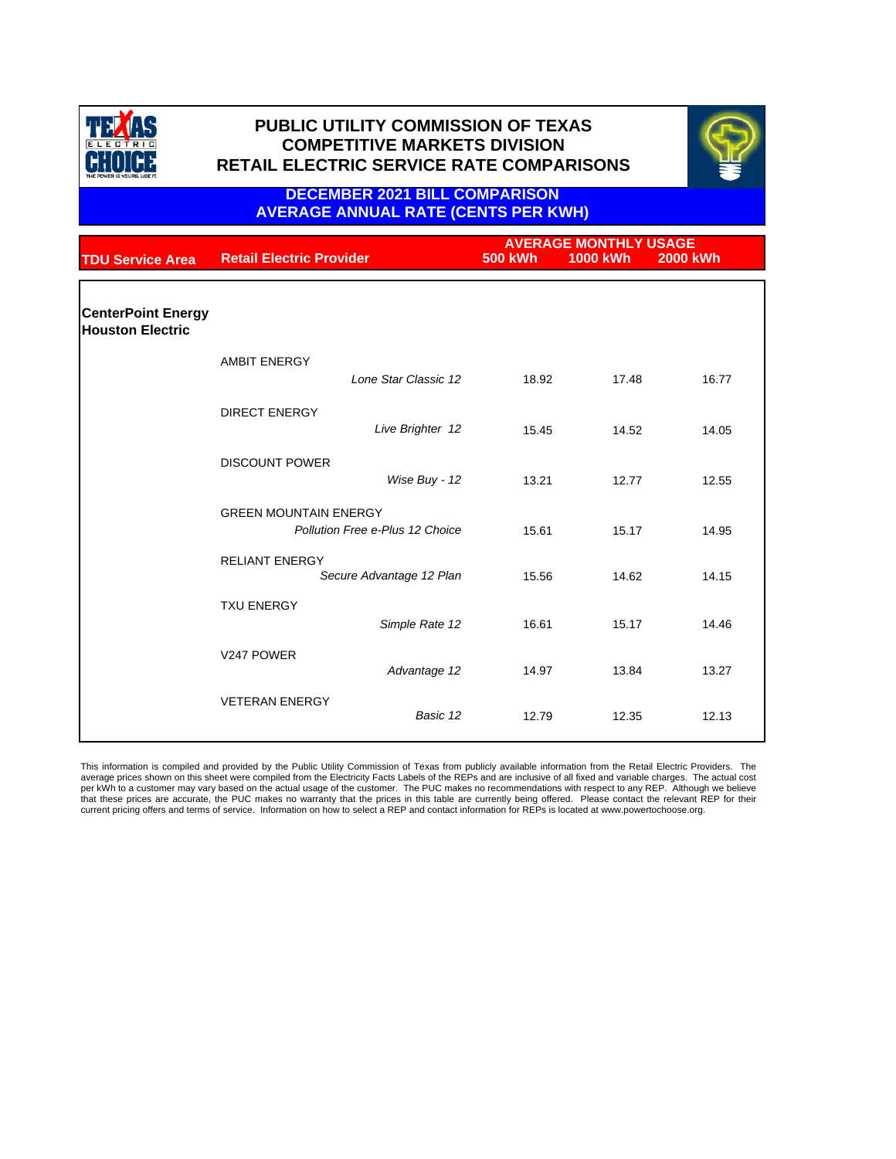



### **DECEMBER 2021 BILL COMPARISON AVERAGE ANNUAL RATE (CENTS PER KWH)**

| <b>TDU Service Area</b>                              | <b>Retail Electric Provider</b>                                 |                  | <b>500 kWh</b> | <b>AVERAGE MONTHLY USAGE</b><br>1000 kWh | <b>2000 kWh</b> |
|------------------------------------------------------|-----------------------------------------------------------------|------------------|----------------|------------------------------------------|-----------------|
|                                                      |                                                                 |                  |                |                                          |                 |
| <b>CenterPoint Energy</b><br><b>Houston Electric</b> |                                                                 |                  |                |                                          |                 |
|                                                      | <b>AMBIT ENERGY</b><br>Lone Star Classic 12                     |                  | 18.92          | 17.48                                    | 16.77           |
|                                                      | <b>DIRECT ENERGY</b>                                            | Live Brighter 12 | 15.45          | 14.52                                    | 14.05           |
|                                                      | <b>DISCOUNT POWER</b>                                           | Wise Buy - 12    | 13.21          | 12.77                                    | 12.55           |
|                                                      | <b>GREEN MOUNTAIN ENERGY</b><br>Pollution Free e-Plus 12 Choice |                  | 15.61          | 15.17                                    | 14.95           |
|                                                      | <b>RELIANT ENERGY</b><br>Secure Advantage 12 Plan               |                  | 15.56          | 14.62                                    | 14.15           |
|                                                      | <b>TXU ENERGY</b>                                               | Simple Rate 12   | 16.61          | 15.17                                    | 14.46           |
|                                                      | V247 POWER                                                      | Advantage 12     | 14.97          | 13.84                                    | 13.27           |
|                                                      | <b>VETERAN ENERGY</b>                                           | Basic 12         | 12.79          | 12.35                                    | 12.13           |

This information is compiled and provided by the Public Utility Commission of Texas from publicly available information from the Retail Electric Providers. The<br>average prices shown on this sheet were compiled from the Elec per kWh to a customer may vary based on the actual usage of the customer. The PUC makes no recommendations with respect to any REP. Although we believe that these prices are accurate, the PUC makes no warranty that the prices in this table are currently being offered. Please contact the relevant REP for their current pricing offers and terms of service. Information on how to select a REP and contact information for REPs is located at www.powertochoose.org.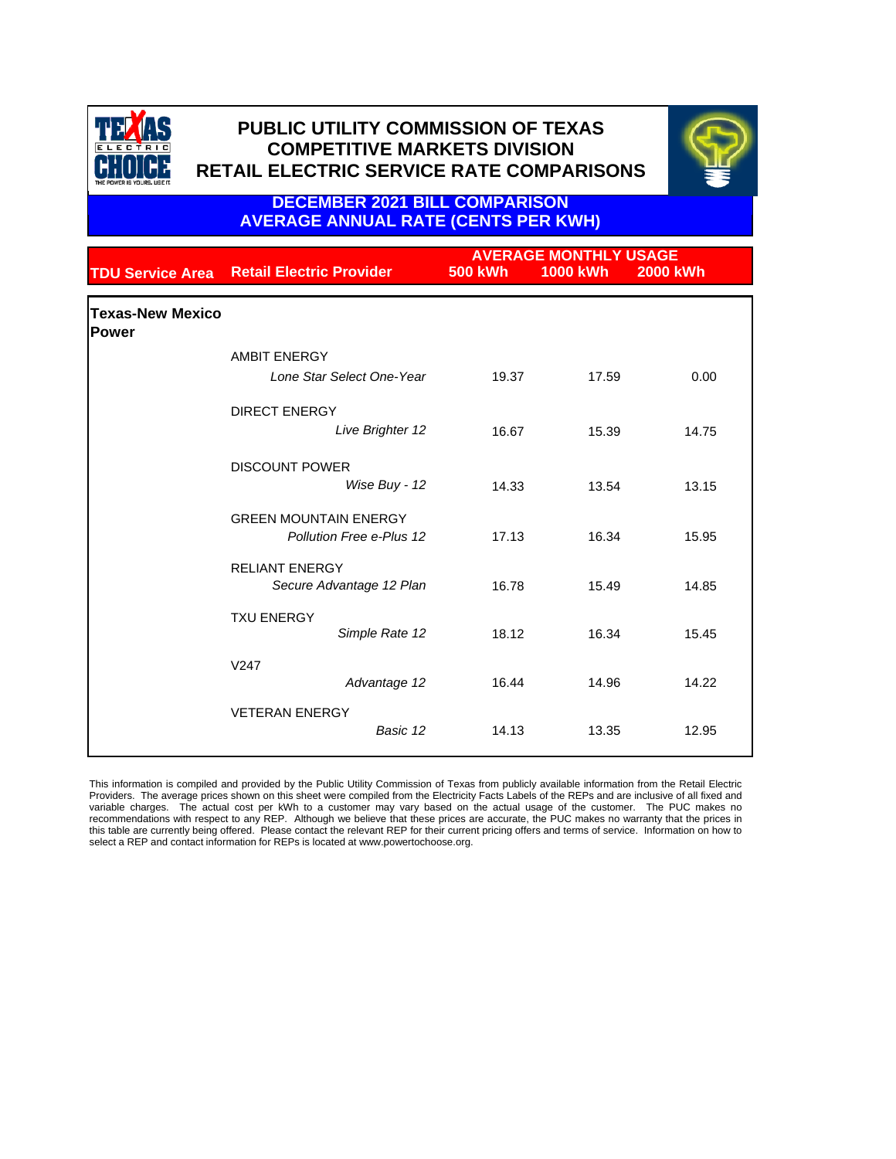



**DECEMBER 2021 BILL COMPARISON AVERAGE ANNUAL RATE (CENTS PER KWH)**

| <b>TDU Service Area</b>                 | <b>Retail Electric Provider</b>                          | <b>500 kWh</b> | <b>AVERAGE MONTHLY USAGE</b><br><b>1000 kWh</b> | <b>2000 kWh</b> |
|-----------------------------------------|----------------------------------------------------------|----------------|-------------------------------------------------|-----------------|
| <b>Texas-New Mexico</b><br><b>Power</b> |                                                          |                |                                                 |                 |
|                                         | <b>AMBIT ENERGY</b>                                      |                |                                                 |                 |
|                                         | Lone Star Select One-Year                                | 19.37          | 17.59                                           | 0.00            |
|                                         | <b>DIRECT ENERGY</b>                                     |                |                                                 |                 |
|                                         | Live Brighter 12                                         | 16.67          | 15.39                                           | 14.75           |
|                                         | <b>DISCOUNT POWER</b><br>Wise Buy - 12                   | 14.33          | 13.54                                           | 13.15           |
|                                         | <b>GREEN MOUNTAIN ENERGY</b><br>Pollution Free e-Plus 12 | 17.13          | 16.34                                           | 15.95           |
|                                         | <b>RELIANT ENERGY</b><br>Secure Advantage 12 Plan        | 16.78          | 15.49                                           | 14.85           |
|                                         | <b>TXU ENERGY</b><br>Simple Rate 12                      | 18.12          | 16.34                                           | 15.45           |
|                                         | V <sub>247</sub><br>Advantage 12                         | 16.44          | 14.96                                           | 14.22           |
|                                         | <b>VETERAN ENERGY</b><br>Basic 12                        | 14.13          | 13.35                                           | 12.95           |

This information is compiled and provided by the Public Utility Commission of Texas from publicly available information from the Retail Electric Providers. The average prices shown on this sheet were compiled from the Electricity Facts Labels of the REPs and are inclusive of all fixed and variable charges. The actual cost per kWh to a customer may vary based on the actual usage of the customer. The PUC makes no recommendations with respect to any REP. Although we believe that these prices are accurate, the PUC makes no warranty that the prices in<br>this table are currently being offered. Please contact the relevant REP for their cu select a REP and contact information for REPs is located at www.powertochoose.org.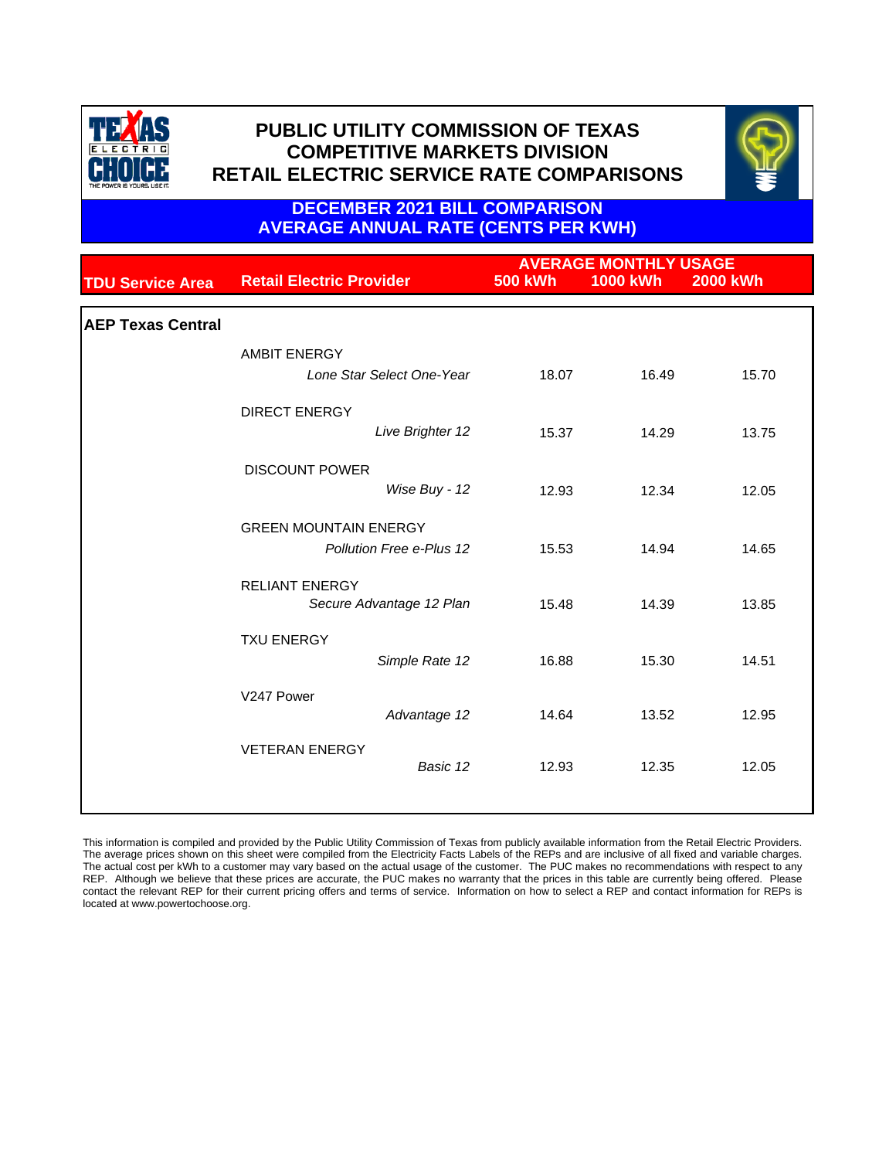



**DECEMBER 2021 BILL COMPARISON AVERAGE ANNUAL RATE (CENTS PER KWH)**

|                          |                                                          |                | <b>AVERAGE MONTHLY USAGE</b> |                 |
|--------------------------|----------------------------------------------------------|----------------|------------------------------|-----------------|
| <b>TDU Service Area</b>  | <b>Retail Electric Provider</b>                          | <b>500 kWh</b> | <b>1000 kWh</b>              | <b>2000 kWh</b> |
| <b>AEP Texas Central</b> |                                                          |                |                              |                 |
|                          | <b>AMBIT ENERGY</b><br>Lone Star Select One-Year         | 18.07          | 16.49                        | 15.70           |
|                          | <b>DIRECT ENERGY</b><br>Live Brighter 12                 | 15.37          | 14.29                        | 13.75           |
|                          | <b>DISCOUNT POWER</b><br>Wise Buy - 12                   | 12.93          | 12.34                        | 12.05           |
|                          | <b>GREEN MOUNTAIN ENERGY</b><br>Pollution Free e-Plus 12 | 15.53          | 14.94                        | 14.65           |
|                          | <b>RELIANT ENERGY</b><br>Secure Advantage 12 Plan        | 15.48          | 14.39                        | 13.85           |
|                          | <b>TXU ENERGY</b><br>Simple Rate 12                      | 16.88          | 15.30                        | 14.51           |
|                          | V247 Power<br>Advantage 12                               | 14.64          | 13.52                        | 12.95           |
|                          | <b>VETERAN ENERGY</b><br>Basic 12                        | 12.93          | 12.35                        | 12.05           |
|                          |                                                          |                |                              |                 |

This information is compiled and provided by the Public Utility Commission of Texas from publicly available information from the Retail Electric Providers. The average prices shown on this sheet were compiled from the Electricity Facts Labels of the REPs and are inclusive of all fixed and variable charges. The actual cost per kWh to a customer may vary based on the actual usage of the customer. The PUC makes no recommendations with respect to any REP. Although we believe that these prices are accurate, the PUC makes no warranty that the prices in this table are currently being offered. Please contact the relevant REP for their current pricing offers and terms of service. Information on how to select a REP and contact information for REPs is located at www.powertochoose.org.